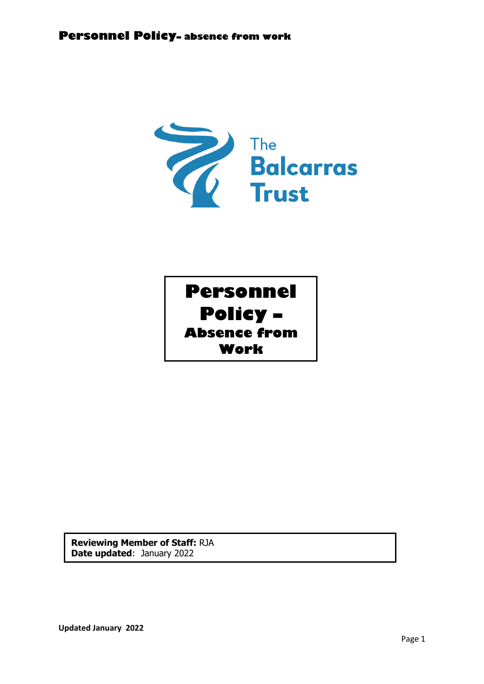

**Reviewing Member of Staff:** RJA **Date updated**: January 2022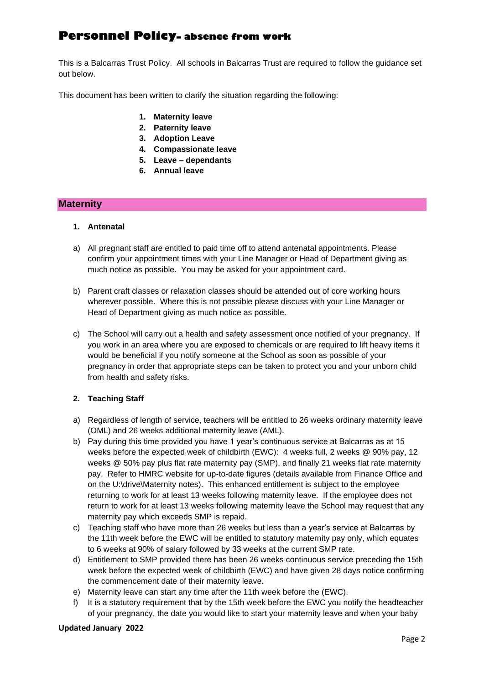This is a Balcarras Trust Policy. All schools in Balcarras Trust are required to follow the guidance set out below.

This document has been written to clarify the situation regarding the following:

- **1. Maternity leave**
- **2. Paternity leave**
- **3. Adoption Leave**
- **4. Compassionate leave**
- **5. Leave – dependants**
- **6. Annual leave**

## **Maternity**

## **1. Antenatal**

- a) All pregnant staff are entitled to paid time off to attend antenatal appointments. Please confirm your appointment times with your Line Manager or Head of Department giving as much notice as possible. You may be asked for your appointment card.
- b) Parent craft classes or relaxation classes should be attended out of core working hours wherever possible. Where this is not possible please discuss with your Line Manager or Head of Department giving as much notice as possible.
- c) The School will carry out a health and safety assessment once notified of your pregnancy. If you work in an area where you are exposed to chemicals or are required to lift heavy items it would be beneficial if you notify someone at the School as soon as possible of your pregnancy in order that appropriate steps can be taken to protect you and your unborn child from health and safety risks.

## **2. Teaching Staff**

- a) Regardless of length of service, teachers will be entitled to 26 weeks ordinary maternity leave (OML) and 26 weeks additional maternity leave (AML).
- b) Pay during this time provided you have 1 year's continuous service at Balcarras as at 15 weeks before the expected week of childbirth (EWC): 4 weeks full, 2 weeks @ 90% pay, 12 weeks @ 50% pay plus flat rate maternity pay (SMP), and finally 21 weeks flat rate maternity pay. Refer to HMRC website for up-to-date figures (details available from Finance Office and on the U:\drive\Maternity notes). This enhanced entitlement is subject to the employee returning to work for at least 13 weeks following maternity leave. If the employee does not return to work for at least 13 weeks following maternity leave the School may request that any maternity pay which exceeds SMP is repaid.
- c) Teaching staff who have more than 26 weeks but less than a year's service at Balcarras by the 11th week before the EWC will be entitled to statutory maternity pay only, which equates to 6 weeks at 90% of salary followed by 33 weeks at the current SMP rate.
- d) Entitlement to SMP provided there has been 26 weeks continuous service preceding the 15th week before the expected week of childbirth (EWC) and have given 28 days notice confirming the commencement date of their maternity leave.
- e) Maternity leave can start any time after the 11th week before the (EWC).
- f) It is a statutory requirement that by the 15th week before the EWC you notify the headteacher of your pregnancy, the date you would like to start your maternity leave and when your baby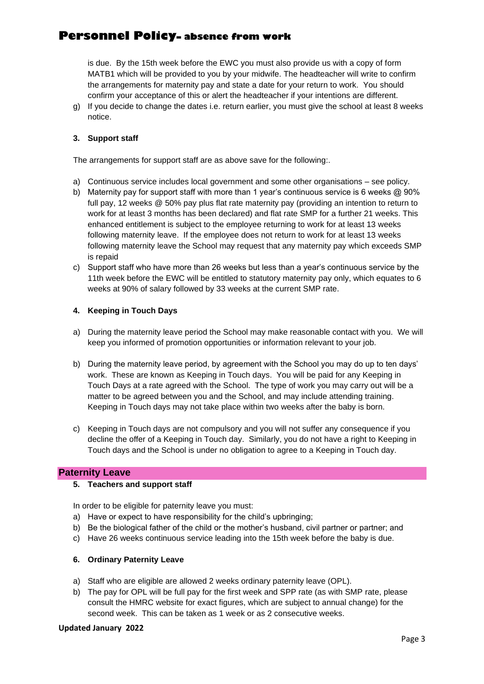is due. By the 15th week before the EWC you must also provide us with a copy of form MATB1 which will be provided to you by your midwife. The headteacher will write to confirm the arrangements for maternity pay and state a date for your return to work. You should confirm your acceptance of this or alert the headteacher if your intentions are different.

g) If you decide to change the dates i.e. return earlier, you must give the school at least 8 weeks notice.

## **3. Support staff**

The arrangements for support staff are as above save for the following:.

- a) Continuous service includes local government and some other organisations see policy.
- b) Maternity pay for support staff with more than 1 year's continuous service is 6 weeks @ 90% full pay, 12 weeks @ 50% pay plus flat rate maternity pay (providing an intention to return to work for at least 3 months has been declared) and flat rate SMP for a further 21 weeks. This enhanced entitlement is subject to the employee returning to work for at least 13 weeks following maternity leave. If the employee does not return to work for at least 13 weeks following maternity leave the School may request that any maternity pay which exceeds SMP is repaid
- c) Support staff who have more than 26 weeks but less than a year's continuous service by the 11th week before the EWC will be entitled to statutory maternity pay only, which equates to 6 weeks at 90% of salary followed by 33 weeks at the current SMP rate.

#### **4. Keeping in Touch Days**

- a) During the maternity leave period the School may make reasonable contact with you. We will keep you informed of promotion opportunities or information relevant to your job.
- b) During the maternity leave period, by agreement with the School you may do up to ten days' work. These are known as Keeping in Touch days. You will be paid for any Keeping in Touch Days at a rate agreed with the School. The type of work you may carry out will be a matter to be agreed between you and the School, and may include attending training. Keeping in Touch days may not take place within two weeks after the baby is born.
- c) Keeping in Touch days are not compulsory and you will not suffer any consequence if you decline the offer of a Keeping in Touch day. Similarly, you do not have a right to Keeping in Touch days and the School is under no obligation to agree to a Keeping in Touch day.

#### **Paternity Leave**

#### **5. Teachers and support staff**

In order to be eligible for paternity leave you must:

- a) Have or expect to have responsibility for the child's upbringing;
- b) Be the biological father of the child or the mother's husband, civil partner or partner; and
- c) Have 26 weeks continuous service leading into the 15th week before the baby is due.

#### **6. Ordinary Paternity Leave**

- a) Staff who are eligible are allowed 2 weeks ordinary paternity leave (OPL).
- b) The pay for OPL will be full pay for the first week and SPP rate (as with SMP rate, please consult the HMRC website for exact figures, which are subject to annual change) for the second week. This can be taken as 1 week or as 2 consecutive weeks.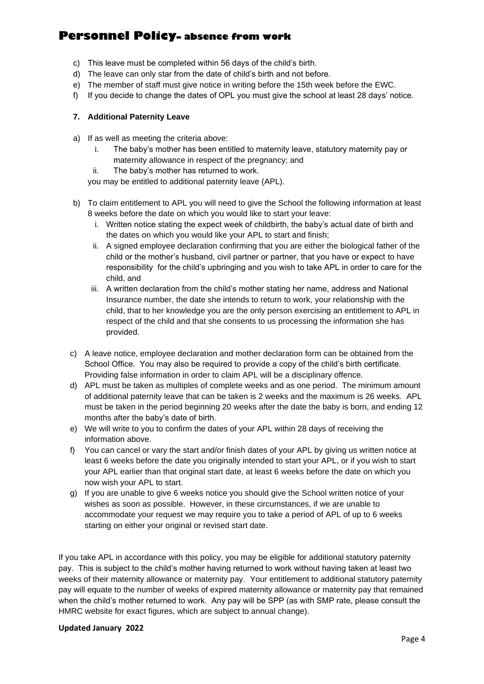- c) This leave must be completed within 56 days of the child's birth.
- d) The leave can only star from the date of child's birth and not before.
- e) The member of staff must give notice in writing before the 15th week before the EWC.
- f) If you decide to change the dates of OPL you must give the school at least 28 days' notice.

## **7. Additional Paternity Leave**

- a) If as well as meeting the criteria above:
	- i. The baby's mother has been entitled to maternity leave, statutory maternity pay or maternity allowance in respect of the pregnancy; and
	- ii. The baby's mother has returned to work.

you may be entitled to additional paternity leave (APL).

- b) To claim entitlement to APL you will need to give the School the following information at least 8 weeks before the date on which you would like to start your leave:
	- i. Written notice stating the expect week of childbirth, the baby's actual date of birth and the dates on which you would like your APL to start and finish;
	- ii. A signed employee declaration confirming that you are either the biological father of the child or the mother's husband, civil partner or partner, that you have or expect to have responsibility for the child's upbringing and you wish to take APL in order to care for the child, and
	- iii. A written declaration from the child's mother stating her name, address and National Insurance number, the date she intends to return to work, your relationship with the child, that to her knowledge you are the only person exercising an entitlement to APL in respect of the child and that she consents to us processing the information she has provided.
- c) A leave notice, employee declaration and mother declaration form can be obtained from the School Office. You may also be required to provide a copy of the child's birth certificate. Providing false information in order to claim APL will be a disciplinary offence.
- d) APL must be taken as multiples of complete weeks and as one period. The minimum amount of additional paternity leave that can be taken is 2 weeks and the maximum is 26 weeks. APL must be taken in the period beginning 20 weeks after the date the baby is born, and ending 12 months after the baby's date of birth.
- e) We will write to you to confirm the dates of your APL within 28 days of receiving the information above.
- f) You can cancel or vary the start and/or finish dates of your APL by giving us written notice at least 6 weeks before the date you originally intended to start your APL, or if you wish to start your APL earlier than that original start date, at least 6 weeks before the date on which you now wish your APL to start.
- g) If you are unable to give 6 weeks notice you should give the School written notice of your wishes as soon as possible. However, in these circumstances, if we are unable to accommodate your request we may require you to take a period of APL of up to 6 weeks starting on either your original or revised start date.

If you take APL in accordance with this policy, you may be eligible for additional statutory paternity pay. This is subject to the child's mother having returned to work without having taken at least two weeks of their maternity allowance or maternity pay. Your entitlement to additional statutory paternity pay will equate to the number of weeks of expired maternity allowance or maternity pay that remained when the child's mother returned to work. Any pay will be SPP (as with SMP rate, please consult the HMRC website for exact figures, which are subject to annual change).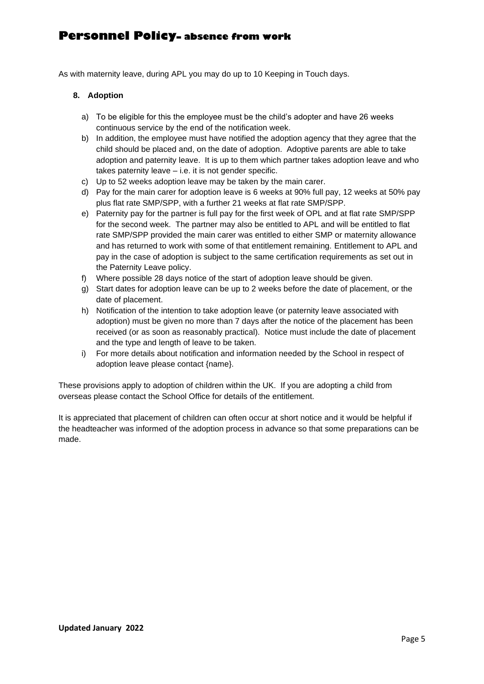As with maternity leave, during APL you may do up to 10 Keeping in Touch days.

## **8. Adoption**

- a) To be eligible for this the employee must be the child's adopter and have 26 weeks continuous service by the end of the notification week.
- b) In addition, the employee must have notified the adoption agency that they agree that the child should be placed and, on the date of adoption. Adoptive parents are able to take adoption and paternity leave. It is up to them which partner takes adoption leave and who takes paternity leave – i.e. it is not gender specific.
- c) Up to 52 weeks adoption leave may be taken by the main carer.
- d) Pay for the main carer for adoption leave is 6 weeks at 90% full pay, 12 weeks at 50% pay plus flat rate SMP/SPP, with a further 21 weeks at flat rate SMP/SPP.
- e) Paternity pay for the partner is full pay for the first week of OPL and at flat rate SMP/SPP for the second week. The partner may also be entitled to APL and will be entitled to flat rate SMP/SPP provided the main carer was entitled to either SMP or maternity allowance and has returned to work with some of that entitlement remaining. Entitlement to APL and pay in the case of adoption is subject to the same certification requirements as set out in the Paternity Leave policy.
- f) Where possible 28 days notice of the start of adoption leave should be given.
- g) Start dates for adoption leave can be up to 2 weeks before the date of placement, or the date of placement.
- h) Notification of the intention to take adoption leave (or paternity leave associated with adoption) must be given no more than 7 days after the notice of the placement has been received (or as soon as reasonably practical). Notice must include the date of placement and the type and length of leave to be taken.
- i) For more details about notification and information needed by the School in respect of adoption leave please contact {name}.

These provisions apply to adoption of children within the UK. If you are adopting a child from overseas please contact the School Office for details of the entitlement.

It is appreciated that placement of children can often occur at short notice and it would be helpful if the headteacher was informed of the adoption process in advance so that some preparations can be made.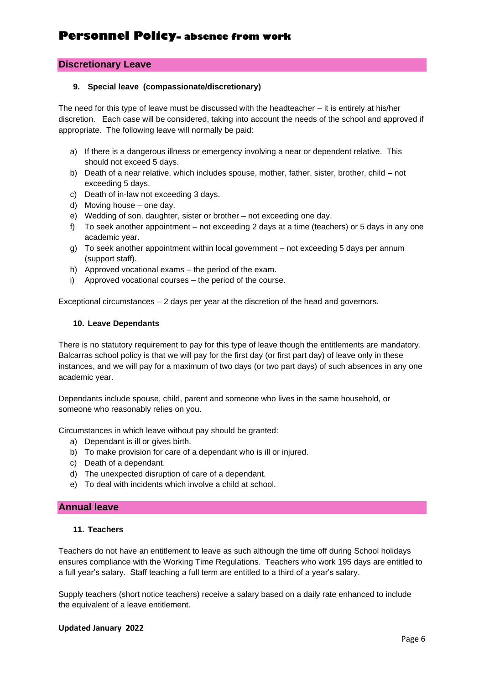## **Discretionary Leave**

#### **9. Special leave (compassionate/discretionary)**

The need for this type of leave must be discussed with the headteacher – it is entirely at his/her discretion. Each case will be considered, taking into account the needs of the school and approved if appropriate. The following leave will normally be paid:

- a) If there is a dangerous illness or emergency involving a near or dependent relative. This should not exceed 5 days.
- b) Death of a near relative, which includes spouse, mother, father, sister, brother, child not exceeding 5 days.
- c) Death of in-law not exceeding 3 days.
- d) Moving house one day.
- e) Wedding of son, daughter, sister or brother not exceeding one day.
- f) To seek another appointment not exceeding 2 days at a time (teachers) or 5 days in any one academic year.
- g) To seek another appointment within local government not exceeding 5 days per annum (support staff).
- h) Approved vocational exams the period of the exam.
- i) Approved vocational courses the period of the course.

Exceptional circumstances – 2 days per year at the discretion of the head and governors.

#### **10. Leave Dependants**

There is no statutory requirement to pay for this type of leave though the entitlements are mandatory. Balcarras school policy is that we will pay for the first day (or first part day) of leave only in these instances, and we will pay for a maximum of two days (or two part days) of such absences in any one academic year.

Dependants include spouse, child, parent and someone who lives in the same household, or someone who reasonably relies on you.

Circumstances in which leave without pay should be granted:

- a) Dependant is ill or gives birth.
- b) To make provision for care of a dependant who is ill or injured.
- c) Death of a dependant.
- d) The unexpected disruption of care of a dependant.
- e) To deal with incidents which involve a child at school.

## **Annual leave**

### **11. Teachers**

Teachers do not have an entitlement to leave as such although the time off during School holidays ensures compliance with the Working Time Regulations. Teachers who work 195 days are entitled to a full year's salary. Staff teaching a full term are entitled to a third of a year's salary.

Supply teachers (short notice teachers) receive a salary based on a daily rate enhanced to include the equivalent of a leave entitlement.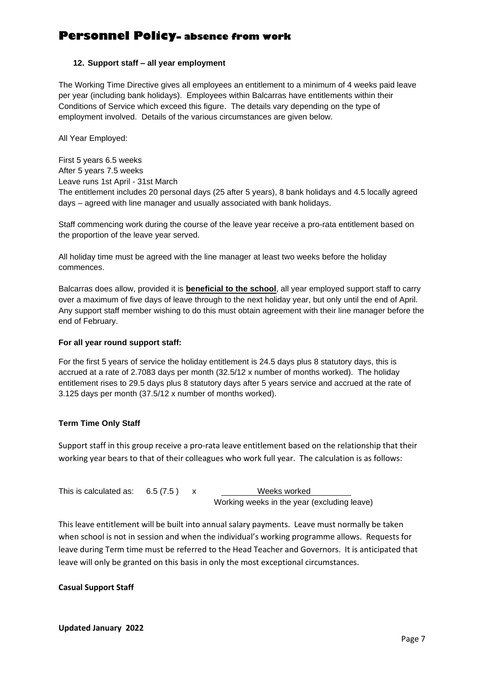## **12. Support staff – all year employment**

The Working Time Directive gives all employees an entitlement to a minimum of 4 weeks paid leave per year (including bank holidays). Employees within Balcarras have entitlements within their Conditions of Service which exceed this figure. The details vary depending on the type of employment involved. Details of the various circumstances are given below.

All Year Employed:

First 5 years 6.5 weeks After 5 years 7.5 weeks Leave runs 1st April - 31st March The entitlement includes 20 personal days (25 after 5 years), 8 bank holidays and 4.5 locally agreed days – agreed with line manager and usually associated with bank holidays.

Staff commencing work during the course of the leave year receive a pro-rata entitlement based on the proportion of the leave year served.

All holiday time must be agreed with the line manager at least two weeks before the holiday commences.

Balcarras does allow, provided it is **beneficial to the school**, all year employed support staff to carry over a maximum of five days of leave through to the next holiday year, but only until the end of April. Any support staff member wishing to do this must obtain agreement with their line manager before the end of February.

## **For all year round support staff:**

For the first 5 years of service the holiday entitlement is 24.5 days plus 8 statutory days, this is accrued at a rate of 2.7083 days per month (32.5/12 x number of months worked). The holiday entitlement rises to 29.5 days plus 8 statutory days after 5 years service and accrued at the rate of 3.125 days per month (37.5/12 x number of months worked).

## **Term Time Only Staff**

Support staff in this group receive a pro-rata leave entitlement based on the relationship that their working year bears to that of their colleagues who work full year. The calculation is as follows:

| This is calculated as: $6.5(7.5)$ |  | Weeks worked                                |
|-----------------------------------|--|---------------------------------------------|
|                                   |  | Working weeks in the year (excluding leave) |

This leave entitlement will be built into annual salary payments. Leave must normally be taken when school is not in session and when the individual's working programme allows. Requests for leave during Term time must be referred to the Head Teacher and Governors. It is anticipated that leave will only be granted on this basis in only the most exceptional circumstances.

## **Casual Support Staff**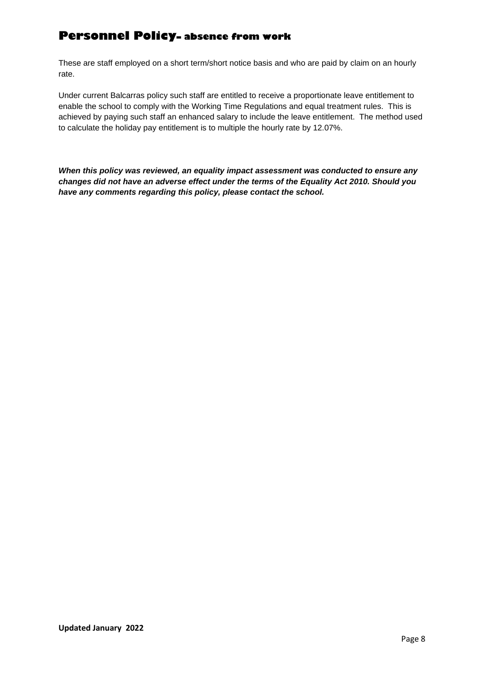These are staff employed on a short term/short notice basis and who are paid by claim on an hourly rate.

Under current Balcarras policy such staff are entitled to receive a proportionate leave entitlement to enable the school to comply with the Working Time Regulations and equal treatment rules. This is achieved by paying such staff an enhanced salary to include the leave entitlement. The method used to calculate the holiday pay entitlement is to multiple the hourly rate by 12.07%.

*When this policy was reviewed, an equality impact assessment was conducted to ensure any changes did not have an adverse effect under the terms of the Equality Act 2010. Should you have any comments regarding this policy, please contact the school.*